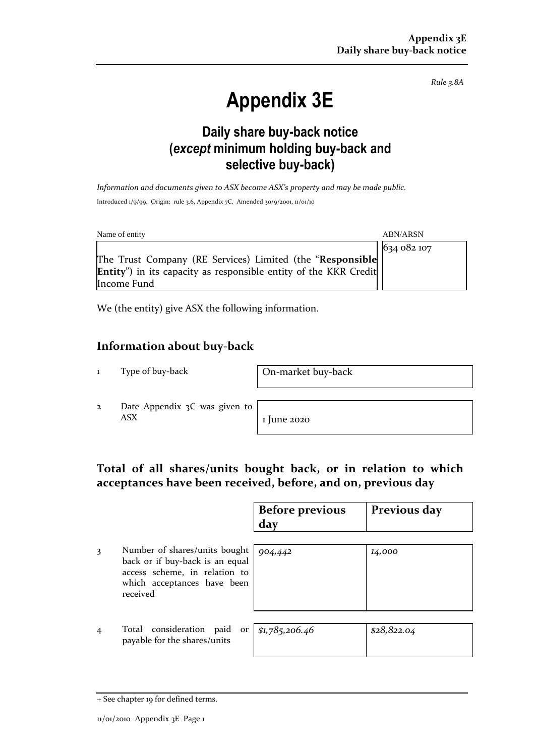*Rule 3.8A*

# **Appendix 3E**

# **Daily share buy-back notice (***except* **minimum holding buy-back and selective buy-back)**

*Information and documents given to ASX become ASX's property and may be made public.* Introduced 1/9/99. Origin: rule 3.6, Appendix 7C. Amended 30/9/2001, 11/01/10

| Name of entity                                                                          | <b>ABN/ARSN</b> |
|-----------------------------------------------------------------------------------------|-----------------|
|                                                                                         | 634 082 107     |
| The Trust Company (RE Services) Limited (the "Responsible                               |                 |
| <b>Entity</b> ") in its capacity as responsible entity of the KKR Credit<br>Income Fund |                 |

We (the entity) give ASX the following information.

### **Information about buy-back**

1 Type of buy-back On-market buy-back

2 Date Appendix 3C was given to  $\overline{ABX}$  1 June 2020

## **Total of all shares/units bought back, or in relation to which acceptances have been received, before, and on, previous day**

|                                                                               | <b>Before previous</b><br>dav | Previous day |
|-------------------------------------------------------------------------------|-------------------------------|--------------|
|                                                                               |                               |              |
| Number of shares/units bought $\log_4$ 442<br>back or if buy-back is an equal |                               | 14,000       |

back or if buy-back is an equal access scheme, in relation to which acceptances have been received

4 Total consideration paid or payable for the shares/units

| $r \mid$ \$1,785,206.46 | \$28,822.04 |
|-------------------------|-------------|
|                         |             |

<sup>+</sup> See chapter 19 for defined terms.